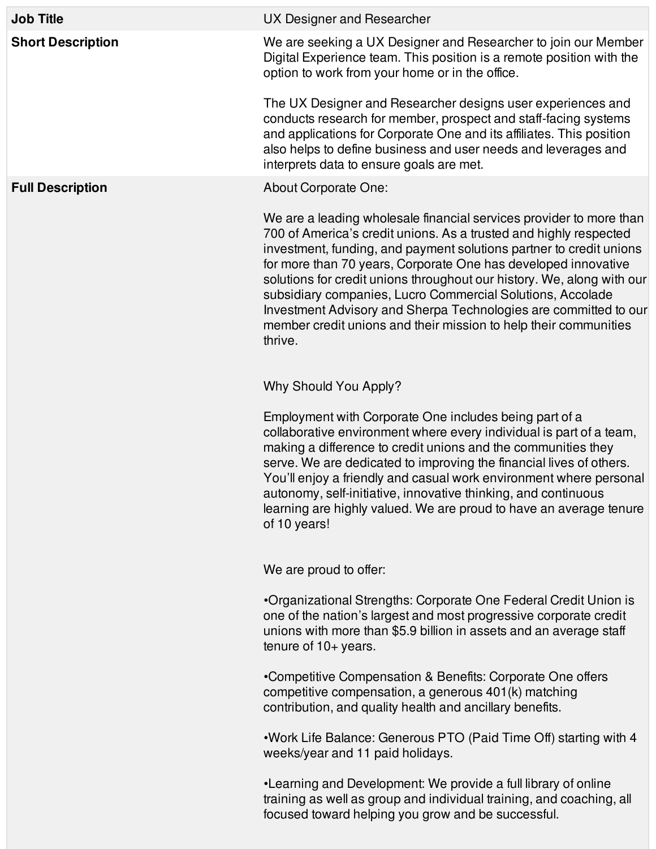| <b>Job Title</b>         | UX Designer and Researcher                                                                                                                                                                                                                                                                                                                                                                                                                                                                                                                                                   |
|--------------------------|------------------------------------------------------------------------------------------------------------------------------------------------------------------------------------------------------------------------------------------------------------------------------------------------------------------------------------------------------------------------------------------------------------------------------------------------------------------------------------------------------------------------------------------------------------------------------|
| <b>Short Description</b> | We are seeking a UX Designer and Researcher to join our Member<br>Digital Experience team. This position is a remote position with the<br>option to work from your home or in the office.                                                                                                                                                                                                                                                                                                                                                                                    |
|                          | The UX Designer and Researcher designs user experiences and<br>conducts research for member, prospect and staff-facing systems<br>and applications for Corporate One and its affiliates. This position<br>also helps to define business and user needs and leverages and<br>interprets data to ensure goals are met.                                                                                                                                                                                                                                                         |
| <b>Full Description</b>  | About Corporate One:                                                                                                                                                                                                                                                                                                                                                                                                                                                                                                                                                         |
|                          | We are a leading wholesale financial services provider to more than<br>700 of America's credit unions. As a trusted and highly respected<br>investment, funding, and payment solutions partner to credit unions<br>for more than 70 years, Corporate One has developed innovative<br>solutions for credit unions throughout our history. We, along with our<br>subsidiary companies, Lucro Commercial Solutions, Accolade<br>Investment Advisory and Sherpa Technologies are committed to our<br>member credit unions and their mission to help their communities<br>thrive. |
|                          | Why Should You Apply?                                                                                                                                                                                                                                                                                                                                                                                                                                                                                                                                                        |
|                          | Employment with Corporate One includes being part of a<br>collaborative environment where every individual is part of a team,<br>making a difference to credit unions and the communities they<br>serve. We are dedicated to improving the financial lives of others.<br>You'll enjoy a friendly and casual work environment where personal<br>autonomy, self-initiative, innovative thinking, and continuous<br>learning are highly valued. We are proud to have an average tenure<br>of 10 years!                                                                          |
|                          | We are proud to offer:                                                                                                                                                                                                                                                                                                                                                                                                                                                                                                                                                       |
|                          | •Organizational Strengths: Corporate One Federal Credit Union is<br>one of the nation's largest and most progressive corporate credit<br>unions with more than \$5.9 billion in assets and an average staff<br>tenure of $10+$ years.                                                                                                                                                                                                                                                                                                                                        |
|                          | •Competitive Compensation & Benefits: Corporate One offers<br>competitive compensation, a generous 401(k) matching<br>contribution, and quality health and ancillary benefits.                                                                                                                                                                                                                                                                                                                                                                                               |
|                          | . Work Life Balance: Generous PTO (Paid Time Off) starting with 4<br>weeks/year and 11 paid holidays.                                                                                                                                                                                                                                                                                                                                                                                                                                                                        |
|                          | •Learning and Development: We provide a full library of online<br>training as well as group and individual training, and coaching, all                                                                                                                                                                                                                                                                                                                                                                                                                                       |

focused toward helping you grow and be successful.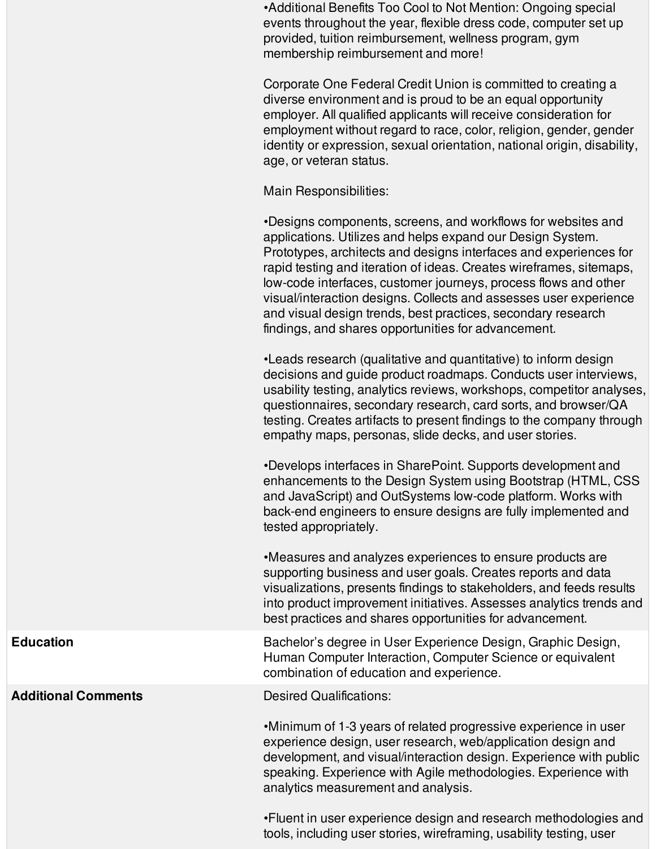•Additional Benefits Too Cool to Not Mention: Ongoing special events throughout the year, flexible dress code, computer set up provided, tuition reimbursement, wellness program, gym membership reimbursement and more!

Corporate One Federal Credit Union is committed to creating a diverse environment and is proud to be an equal opportunity employer. All qualified applicants will receive consideration for employment without regard to race, color, religion, gender, gender identity or expression, sexual orientation, national origin, disability, age, or veteran status.

Main Responsibilities:

•Designs components, screens, and workflows for websites and applications. Utilizes and helps expand our Design System. Prototypes, architects and designs interfaces and experiences for rapid testing and iteration of ideas. Creates wireframes, sitemaps, low-code interfaces, customer journeys, process flows and other visual/interaction designs. Collects and assesses user experience and visual design trends, best practices, secondary research findings, and shares opportunities for advancement.

•Leads research (qualitative and quantitative) to inform design decisions and guide product roadmaps. Conducts user interviews, usability testing, analytics reviews, workshops, competitor analyses, questionnaires, secondary research, card sorts, and browser/QA testing. Creates artifacts to present findings to the company through empathy maps, personas, slide decks, and user stories.

•Develops interfaces in SharePoint. Supports development and enhancements to the Design System using Bootstrap (HTML, CSS and JavaScript) and OutSystems low-code platform. Works with back-end engineers to ensure designs are fully implemented and tested appropriately.

•Measures and analyzes experiences to ensure products are supporting business and user goals. Creates reports and data visualizations, presents findings to stakeholders, and feeds results into product improvement initiatives. Assesses analytics trends and best practices and shares opportunities for advancement.

**Education** Bachelor's degree in User Experience Design, Graphic Design, Human Computer Interaction, Computer Science or equivalent combination of education and experience.

•Minimum of 1-3 years of related progressive experience in user experience design, user research, web/application design and development, and visual/interaction design. Experience with public speaking. Experience with Agile methodologies. Experience with analytics measurement and analysis.

•Fluent in user experience design and research methodologies and tools, including user stories, wireframing, usability testing, user

**Additional Comments** Desired Qualifications: